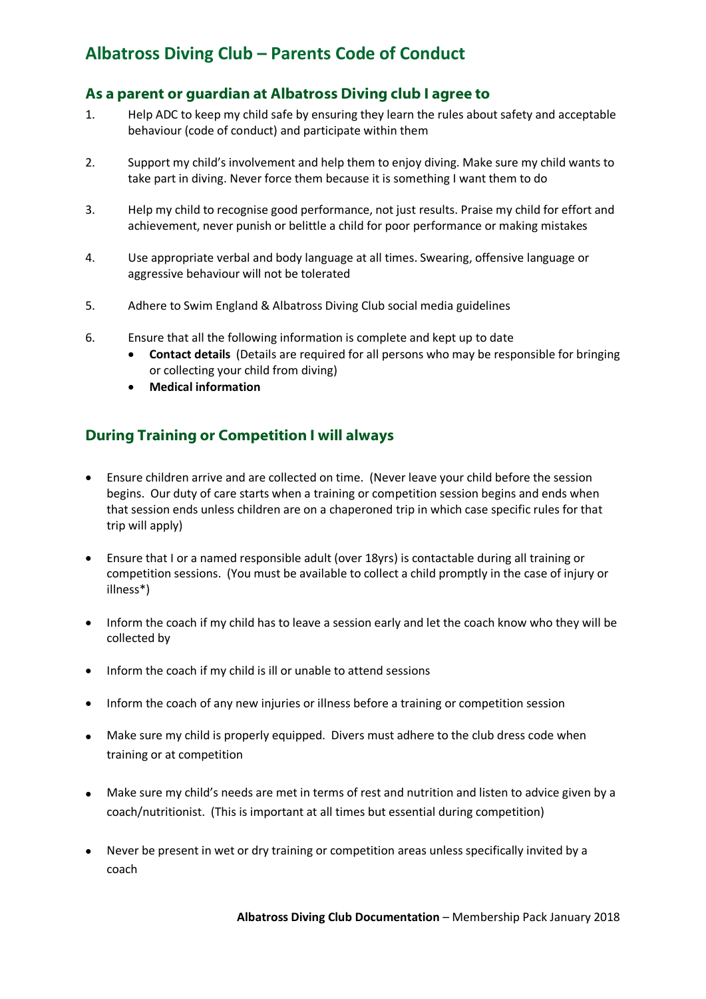## **Albatross Diving Club – Parents Code of Conduct**

### **As a parent or guardian at Albatross Diving club I agree to**

- 1. Help ADC to keep my child safe by ensuring they learn the rules about safety and acceptable behaviour (code of conduct) and participate within them
- 2. Support my child's involvement and help them to enjoy diving. Make sure my child wants to take part in diving. Never force them because it is something I want them to do
- 3. Help my child to recognise good performance, not just results. Praise my child for effort and achievement, never punish or belittle a child for poor performance or making mistakes
- 4. Use appropriate verbal and body language at all times. Swearing, offensive language or aggressive behaviour will not be tolerated
- 5. Adhere to Swim England & Albatross Diving Club social media guidelines
- 6. Ensure that all the following information is complete and kept up to date
	- **Contact details** (Details are required for all persons who may be responsible for bringing or collecting your child from diving)
	- **Medical information**

### **During Training or Competition I will always**

- Ensure children arrive and are collected on time. (Never leave your child before the session begins. Our duty of care starts when a training or competition session begins and ends when that session ends unless children are on a chaperoned trip in which case specific rules for that trip will apply)
- Ensure that I or a named responsible adult (over 18yrs) is contactable during all training or competition sessions. (You must be available to collect a child promptly in the case of injury or illness\*)
- Inform the coach if my child has to leave a session early and let the coach know who they will be collected by
- Inform the coach if my child is ill or unable to attend sessions
- Inform the coach of any new injuries or illness before a training or competition session
- Make sure my child is properly equipped. Divers must adhere to the club dress code when training or at competition
- Make sure my child's needs are met in terms of rest and nutrition and listen to advice given by a coach/nutritionist. (This is important at all times but essential during competition)
- Never be present in wet or dry training or competition areas unless specifically invited by a coach